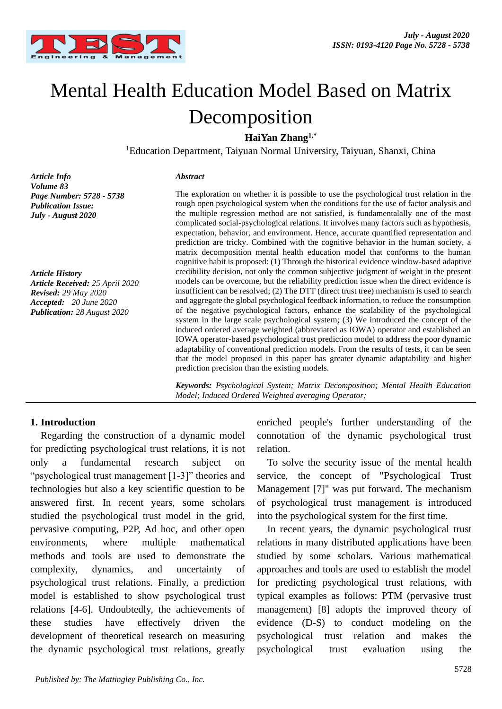

# Mental Health Education Model Based on Matrix Decomposition

**HaiYan Zhang1,\***

<sup>1</sup>Education Department, Taiyuan Normal University, Taiyuan, Shanxi, China

*Article Info Volume 83 Page Number: 5728 - 5738 Publication Issue: July - August 2020*

*Article History Article Received: 25 April 2020 Revised: 29 May 2020 Accepted: 20 June 2020 Publication: 28 August 2020*

#### *Abstract*

The exploration on whether it is possible to use the psychological trust relation in the rough open psychological system when the conditions for the use of factor analysis and the multiple regression method are not satisfied, is fundamentalally one of the most complicated social-psychological relations. It involves many factors such as hypothesis, expectation, behavior, and environment. Hence, accurate quantified representation and prediction are tricky. Combined with the cognitive behavior in the human society, a matrix decomposition mental health education model that conforms to the human cognitive habit is proposed: (1) Through the historical evidence window-based adaptive credibility decision, not only the common subjective judgment of weight in the present models can be overcome, but the reliability prediction issue when the direct evidence is insufficient can be resolved; (2) The DTT (direct trust tree) mechanism is used to search and aggregate the global psychological feedback information, to reduce the consumption of the negative psychological factors, enhance the scalability of the psychological system in the large scale psychological system; (3) We introduced the concept of the induced ordered average weighted (abbreviated as IOWA) operator and established an IOWA operator-based psychological trust prediction model to address the poor dynamic adaptability of conventional prediction models. From the results of tests, it can be seen that the model proposed in this paper has greater dynamic adaptability and higher prediction precision than the existing models.

*Keywords: Psychological System; Matrix Decomposition; Mental Health Education Model; Induced Ordered Weighted averaging Operator;*

#### **1. Introduction**

Regarding the construction of a dynamic model for predicting psychological trust relations, it is not only a fundamental research subject on "psychological trust management [1-3]" theories and technologies but also a key scientific question to be answered first. In recent years, some scholars studied the psychological trust model in the grid, pervasive computing, P2P, Ad hoc, and other open environments, where multiple mathematical methods and tools are used to demonstrate the complexity, dynamics, and uncertainty of psychological trust relations. Finally, a prediction model is established to show psychological trust relations [4-6]. Undoubtedly, the achievements of these studies have effectively driven the development of theoretical research on measuring the dynamic psychological trust relations, greatly enriched people's further understanding of the connotation of the dynamic psychological trust relation.

To solve the security issue of the mental health service, the concept of "Psychological Trust Management [7]" was put forward. The mechanism of psychological trust management is introduced into the psychological system for the first time.

In recent years, the dynamic psychological trust relations in many distributed applications have been studied by some scholars. Various mathematical approaches and tools are used to establish the model for predicting psychological trust relations, with typical examples as follows: PTM (pervasive trust management) [8] adopts the improved theory of evidence (D-S) to conduct modeling on the psychological trust relation and makes the psychological trust evaluation using the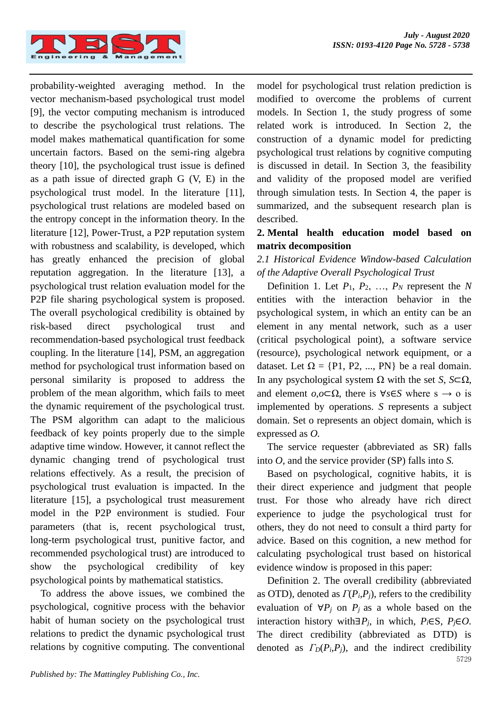

probability-weighted averaging method. In the vector mechanism-based psychological trust model [9], the vector computing mechanism is introduced to describe the psychological trust relations. The model makes mathematical quantification for some uncertain factors. Based on the semi-ring algebra theory [10], the psychological trust issue is defined as a path issue of directed graph G (V, E) in the psychological trust model. In the literature [11], psychological trust relations are modeled based on the entropy concept in the information theory. In the literature [12], Power-Trust, a P2P reputation system with robustness and scalability, is developed, which has greatly enhanced the precision of global reputation aggregation. In the literature [13], a psychological trust relation evaluation model for the P2P file sharing psychological system is proposed. The overall psychological credibility is obtained by risk-based direct psychological trust and recommendation-based psychological trust feedback coupling. In the literature [14], PSM, an aggregation method for psychological trust information based on personal similarity is proposed to address the problem of the mean algorithm, which fails to meet the dynamic requirement of the psychological trust. The PSM algorithm can adapt to the malicious feedback of key points properly due to the simple adaptive time window. However, it cannot reflect the dynamic changing trend of psychological trust relations effectively. As a result, the precision of psychological trust evaluation is impacted. In the literature [15], a psychological trust measurement model in the P2P environment is studied. Four parameters (that is, recent psychological trust, long-term psychological trust, punitive factor, and recommended psychological trust) are introduced to show the psychological credibility of key psychological points by mathematical statistics.

To address the above issues, we combined the psychological, cognitive process with the behavior habit of human society on the psychological trust relations to predict the dynamic psychological trust relations by cognitive computing. The conventional model for psychological trust relation prediction is modified to overcome the problems of current models. In Section 1, the study progress of some related work is introduced. In Section 2, the construction of a dynamic model for predicting psychological trust relations by cognitive computing is discussed in detail. In Section 3, the feasibility and validity of the proposed model are verified through simulation tests. In Section 4, the paper is summarized, and the subsequent research plan is described.

## **2. Mental health education model based on matrix decomposition**

# *2.1 Historical Evidence Window-based Calculation of the Adaptive Overall Psychological Trust*

Definition 1. Let  $P_1$ ,  $P_2$ , ...,  $P_N$  represent the *N* entities with the interaction behavior in the psychological system, in which an entity can be an element in any mental network, such as a user (critical psychological point), a software service (resource), psychological network equipment, or a dataset. Let  $\Omega = \{P1, P2, ..., PN\}$  be a real domain. In any psychological system Ω with the set *S*, *S*⊂Ω, and element  $o.o\square\Omega$ , there is  $\forall s \in S$  where  $s \to o$  is implemented by operations. *S* represents a subject domain. Set o represents an object domain, which is expressed as *O.*

The service requester (abbreviated as SR) falls into *O*, and the service provider (SP) falls into *S.*

Based on psychological, cognitive habits, it is their direct experience and judgment that people trust. For those who already have rich direct experience to judge the psychological trust for others, they do not need to consult a third party for advice. Based on this cognition, a new method for calculating psychological trust based on historical evidence window is proposed in this paper:

5729 Definition 2. The overall credibility (abbreviated as OTD), denoted as  $\Gamma(P_i, P_j)$ , refers to the credibility evaluation of  $\forall P_j$  on  $P_j$  as a whole based on the interaction history with∃*Pj*, in which, *Pi*∈S, *Pj*∈*O.* The direct credibility (abbreviated as DTD) is denoted as  $\Gamma_D(P_i, P_j)$ , and the indirect credibility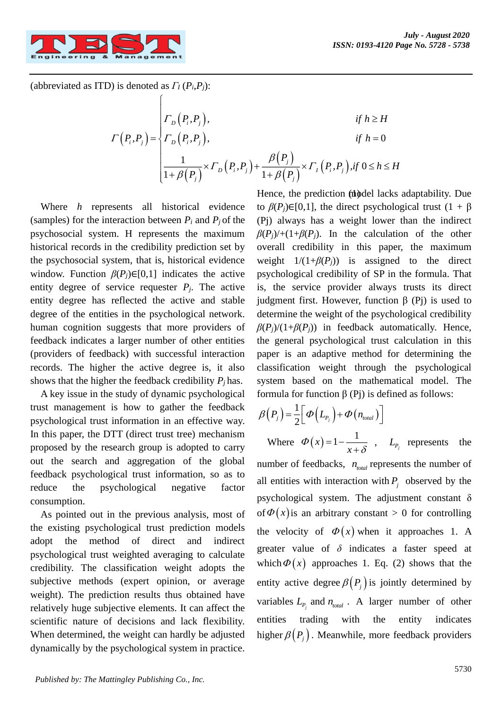

(abbreviated as ITD) is denoted as *Γ<sup>I</sup>* (*Pi*,*Pj*):

ſ

$$
\Gamma(P_i, P_j) = \begin{cases}\n\Gamma_D(P_i, P_j), & \text{if } h \ge H \\
\Gamma_D(P_i, P_j), & \text{if } h = 0 \\
\frac{1}{1 + \beta(P_j)} \times \Gamma_D(P_i, P_j) + \frac{\beta(P_j)}{1 + \beta(P_j)} \times \Gamma_I(P_i, P_j), & \text{if } 0 \le h \le H\n\end{cases}
$$

Where *h* represents all historical evidence (samples) for the interaction between  $P_i$  and  $P_j$  of the psychosocial system. H represents the maximum historical records in the credibility prediction set by the psychosocial system, that is, historical evidence window. Function  $\beta(P_i) \in [0,1]$  indicates the active entity degree of service requester  $P_i$ . The active entity degree has reflected the active and stable degree of the entities in the psychological network. human cognition suggests that more providers of feedback indicates a larger number of other entities (providers of feedback) with successful interaction records. The higher the active degree is, it also shows that the higher the feedback credibility *Pj* has.

A key issue in the study of dynamic psychological trust management is how to gather the feedback psychological trust information in an effective way. In this paper, the DTT (direct trust tree) mechanism proposed by the research group is adopted to carry out the search and aggregation of the global feedback psychological trust information, so as to reduce the psychological negative factor consumption.

As pointed out in the previous analysis, most of the existing psychological trust prediction models adopt the method of direct and indirect psychological trust weighted averaging to calculate credibility. The classification weight adopts the subjective methods (expert opinion, or average weight). The prediction results thus obtained have relatively huge subjective elements. It can affect the scientific nature of decisions and lack flexibility. When determined, the weight can hardly be adjusted dynamically by the psychological system in practice.

Hence, the prediction (nodel lacks adaptability. Due to  $\beta(P_i) \in [0,1]$ , the direct psychological trust  $(1 + \beta)$ (Pj) always has a weight lower than the indirect  $\beta(P_j)$ /+(1+ $\beta(P_j)$ ). In the calculation of the other overall credibility in this paper, the maximum weight  $1/(1+\beta(P_i))$  is assigned to the direct psychological credibility of SP in the formula. That is, the service provider always trusts its direct judgment first. However, function β (Pj) is used to determine the weight of the psychological credibility  $\beta(P_i)/(1+\beta(P_i))$  in feedback automatically. Hence, the general psychological trust calculation in this paper is an adaptive method for determining the classification weight through the psychological system based on the mathematical model. The formula for function β (Pj) is defined as follows:

$$
\beta(P_j) = \frac{1}{2} \Big[ \Phi\Big(L_{P_j}\Big) + \Phi\Big(n_{\text{total}}\Big) \Big]
$$
  
Where  $\Phi\Big(x\Big) = 1 - \frac{1}{x + \delta}$ ,  $L_{P_j}$  represents the

number of feedbacks,  $n_{total}$  represents the number of all entities with interaction with  $P_j$  observed by the psychological system. The adjustment constant  $\delta$ of  $\Phi(x)$  is an arbitrary constant > 0 for controlling the velocity of  $\Phi(x)$  when it approaches 1. A greater value of *δ* indicates a faster speed at which  $\Phi(x)$  approaches 1. Eq. (2) shows that the entity active degree  $\beta(P_j)$  is jointly determined by variables  $L_{P_j}$  and  $n_{total}$ . A larger number of other entities trading with the entity indicates higher  $\beta(P_j)$ . Meanwhile, more feedback providers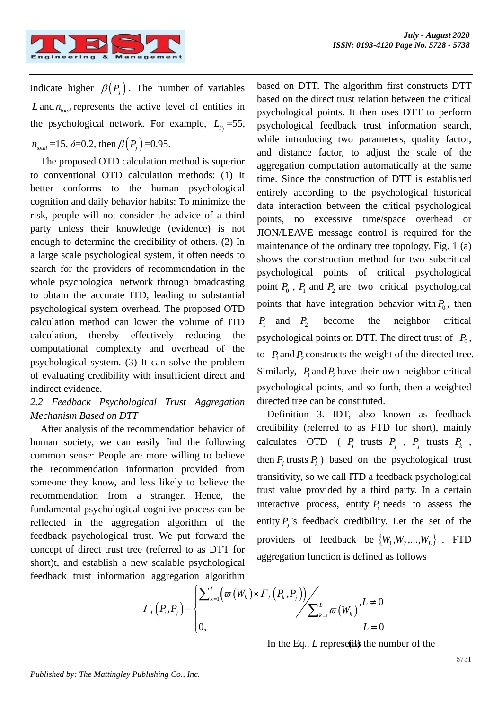

indicate higher  $\beta(P_j)$ . The number of variables  $L$  and  $n_{total}$  represents the active level of entities in the psychological network. For example,  $L_{p_j} = 55$ ,  $n_{\text{total}} = 15, \, \delta = 0.2, \, \text{then } \beta\left(P_j\right) = 0.95.$ 

The proposed OTD calculation method is superior to conventional OTD calculation methods: (1) It better conforms to the human psychological cognition and daily behavior habits: To minimize the risk, people will not consider the advice of a third party unless their knowledge (evidence) is not enough to determine the credibility of others. (2) In a large scale psychological system, it often needs to search for the providers of recommendation in the whole psychological network through broadcasting to obtain the accurate ITD, leading to substantial psychological system overhead. The proposed OTD calculation method can lower the volume of ITD calculation, thereby effectively reducing the computational complexity and overhead of the psychological system. (3) It can solve the problem of evaluating credibility with insufficient direct and indirect evidence.

# *2.2 Feedback Psychological Trust Aggregation Mechanism Based on DTT*

After analysis of the recommendation behavior of human society, we can easily find the following common sense: People are more willing to believe the recommendation information provided from someone they know, and less likely to believe the recommendation from a stranger. Hence, the fundamental psychological cognitive process can be reflected in the aggregation algorithm of the feedback psychological trust. We put forward the concept of direct trust tree (referred to as DTT for short)t, and establish a new scalable psychological feedback trust information aggregation algorithm based on DTT. The algorithm first constructs DTT based on the direct trust relation between the critical psychological points. It then uses DTT to perform psychological feedback trust information search, while introducing two parameters, quality factor, and distance factor, to adjust the scale of the aggregation computation automatically at the same time. Since the construction of DTT is established entirely according to the psychological historical data interaction between the critical psychological points, no excessive time/space overhead or JION/LEAVE message control is required for the maintenance of the ordinary tree topology. Fig. 1 (a) shows the construction method for two subcritical psychological points of critical psychological point  $P_0$ ,  $P_1$  and  $P_2$  are two critical psychological points that have integration behavior with  $P_0$ , then  $P_1$  and  $P_2$  become the neighbor critical psychological points on DTT. The direct trust of  $P_0$ , to  $P_1$  and  $P_2$  constructs the weight of the directed tree. Similarly,  $P_1$  and  $P_2$  have their own neighbor critical psychological points, and so forth, then a weighted directed tree can be constituted.

Definition 3. IDT, also known as feedback credibility (referred to as FTD for short), mainly calculates OTD ( $P_i$  trusts  $P_j$ ,  $P_j$  trusts  $P_k$ , then  $P_j$  trusts  $P_k$ ) based on the psychological trust transitivity, so we call ITD a feedback psychological trust value provided by a third party. In a certain interactive process, entity  $P_i$  needs to assess the entity  $P_j$ 's feedback credibility. Let the set of the providers of feedback be  ${W_1, W_2,..., W_L}$ . FTD aggregation function is defined as follows

$$
\Gamma_{I}\left(P_{i}, P_{j}\right) = \begin{cases} \sum_{k=1}^{L} \left(\sigma\left(W_{k}\right) \times \Gamma_{I}\left(P_{k}, P_{j}\right)\right) & L \neq 0 \\ 0, & L = 0 \end{cases}
$$

In the Eq.,  $L$  represents the number of the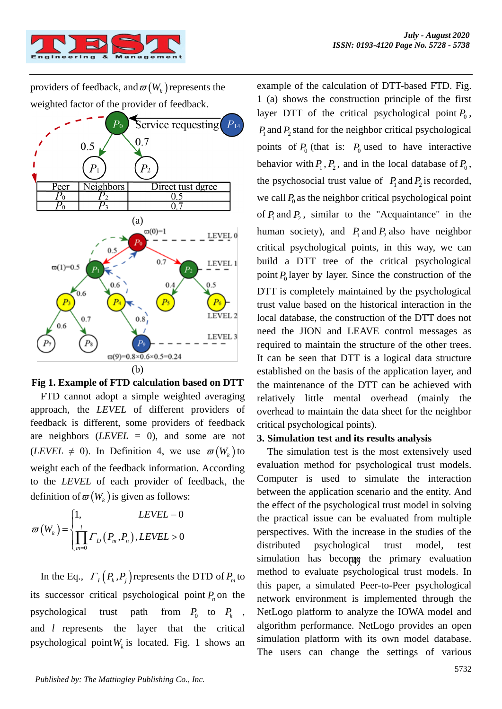providers of feedback, and  $\varpi(W_k)$  represents the weighted factor of the provider of feedback.



#### **Fig 1. Example of FTD calculation based on DTT**

FTD cannot adopt a simple weighted averaging approach, the *LEVEL* of different providers of feedback is different, some providers of feedback are neighbors (*LEVEL* = 0), and some are not (*LEVEL*  $\neq$  0). In Definition 4, we use  $\varpi(W_k)$  to weight each of the feedback information. According to the *LEVEL* of each provider of feedback, the definition of  $\varpi(W_k)$  is given as follows:

$$
\varpi\left(W_{k}\right) = \begin{cases} 1, & LEVEL = 0\\ \prod_{m=0}^{l} \Gamma_{D}\left(P_{m}, P_{n}\right), LEVEL > 0 \end{cases}
$$

In the Eq.,  $\Gamma_I(P_k, P_j)$  represents the DTD of  $P_m$  to its successor critical psychological point  $P_n$  on the psychological trust path  $P_0$  to  $P_k$ , and *l* represents the layer that the critical psychological point  $W_k$  is located. Fig. 1 shows an example of the calculation of DTT-based FTD. Fig. 1 (a) shows the construction principle of the first layer DTT of the critical psychological point  $P_0$ ,  $P_1$  and  $P_2$  stand for the neighbor critical psychological points of  $P_0$  (that is:  $P_0$  used to have interactive behavior with  $P_1$ ,  $P_2$ , and in the local database of  $P_0$ , the psychosocial trust value of  $P_1$  and  $P_2$  is recorded, we call  $P_0$  as the neighbor critical psychological point of  $P_1$  and  $P_2$ , similar to the "Acquaintance" in the human society), and  $P_1$  and  $P_2$  also have neighbor critical psychological points, in this way, we can build a DTT tree of the critical psychological point  $P_0$  layer by layer. Since the construction of the DTT is completely maintained by the psychological trust value based on the historical interaction in the local database, the construction of the DTT does not need the JION and LEAVE control messages as required to maintain the structure of the other trees. It can be seen that DTT is a logical data structure established on the basis of the application layer, and the maintenance of the DTT can be achieved with relatively little mental overhead (mainly the overhead to maintain the data sheet for the neighbor critical psychological points).

#### **3. Simulation test and its results analysis**

simulation has become the primary evaluation The simulation test is the most extensively used evaluation method for psychological trust models. Computer is used to simulate the interaction between the application scenario and the entity. And the effect of the psychological trust model in solving the practical issue can be evaluated from multiple perspectives. With the increase in the studies of the distributed psychological trust model, test method to evaluate psychological trust models. In this paper, a simulated Peer-to-Peer psychological network environment is implemented through the NetLogo platform to analyze the IOWA model and algorithm performance. NetLogo provides an open simulation platform with its own model database. The users can change the settings of various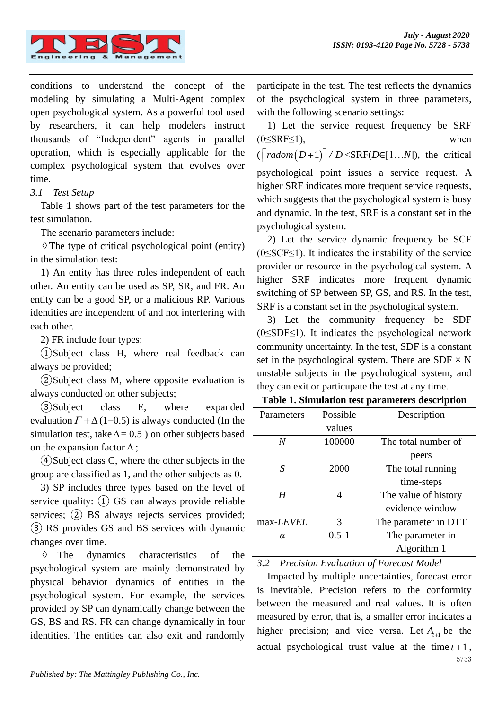

conditions to understand the concept of the modeling by simulating a Multi-Agent complex open psychological system. As a powerful tool used by researchers, it can help modelers instruct thousands of "Independent" agents in parallel operation, which is especially applicable for the complex psychological system that evolves over time.

#### *3.1 Test Setup*

Table 1 shows part of the test parameters for the test simulation.

The scenario parameters include:

 The type of critical psychological point (entity) in the simulation test:

1) An entity has three roles independent of each other. An entity can be used as SP, SR, and FR. An entity can be a good SP, or a malicious RP. Various identities are independent of and not interfering with each other.

2) FR include four types:

①Subject class H, where real feedback can always be provided;

②Subject class M, where opposite evaluation is always conducted on other subjects;

③Subject class E, where expanded evaluation  $\Gamma + \Delta(1-0.5)$  is always conducted (In the simulation test, take  $\Delta = 0.5$ ) on other subjects based on the expansion factor  $\Delta$ ;

④Subject class C, where the other subjects in the group are classified as 1, and the other subjects as 0.

3) SP includes three types based on the level of service quality:  $(1)$  GS can always provide reliable services; (2) BS always rejects services provided; ③ RS provides GS and BS services with dynamic changes over time.

♦ The dynamics characteristics of the psychological system are mainly demonstrated by physical behavior dynamics of entities in the psychological system. For example, the services provided by SP can dynamically change between the GS, BS and RS. FR can change dynamically in four identities. The entities can also exit and randomly

participate in the test. The test reflects the dynamics of the psychological system in three parameters, with the following scenario settings:

1) Let the service request frequency be SRF  $(0 \leq SRF \leq 1)$ , when  $(\lceil radom(D+1) \rceil / D \leq \text{SRF}(D \in [1...N])$ , the critical psychological point issues a service request. A higher SRF indicates more frequent service requests, which suggests that the psychological system is busy and dynamic. In the test, SRF is a constant set in the psychological system.

2) Let the service dynamic frequency be SCF  $(0 \leq SCF \leq 1)$ . It indicates the instability of the service provider or resource in the psychological system. A higher SRF indicates more frequent dynamic switching of SP between SP, GS, and RS. In the test, SRF is a constant set in the psychological system.

3) Let the community frequency be SDF  $(0 \leq$ SDF $\leq$ 1). It indicates the psychological network community uncertainty. In the test, SDF is a constant set in the psychological system. There are SDF  $\times$  N unstable subjects in the psychological system, and they can exit or particupate the test at any time.

| Table 1. Simulation test parameters description |  |  |  |
|-------------------------------------------------|--|--|--|
|-------------------------------------------------|--|--|--|

| Parameters        | Possible  | Description          |
|-------------------|-----------|----------------------|
|                   | values    |                      |
| N                 | 100000    | The total number of  |
|                   |           | peers                |
| S                 | 2000      | The total running    |
|                   |           | time-steps           |
| H                 | 4         | The value of history |
|                   |           | evidence window      |
| max- <i>LEVEL</i> | 3         | The parameter in DTT |
| α                 | $0.5 - 1$ | The parameter in     |
|                   |           | Algorithm 1          |

*3.2 Precision Evaluation of Forecast Model*

5733 Impacted by multiple uncertainties, forecast error is inevitable. Precision refers to the conformity between the measured and real values. It is often measured by error, that is, a smaller error indicates a higher precision; and vice versa. Let  $A_{t+1}$  be the actual psychological trust value at the time  $t+1$ ,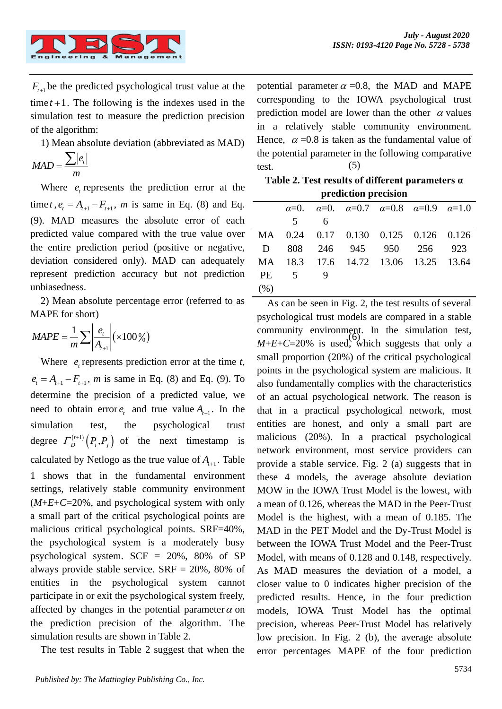

 $F_{t+1}$  be the predicted psychological trust value at the  $time t + 1$ . The following is the indexes used in the simulation test to measure the prediction precision of the algorithm:

1) Mean absolute deviation (abbreviated as MAD)

$$
MAD = \frac{\sum |e_t|}{m}
$$

Where  $e_t$  represents the prediction error at the time *t*,  $e_t = A_{t+1} - F_{t+1}$ , *m* is same in Eq. (8) and Eq. (9). MAD measures the absolute error of each predicted value compared with the true value over the entire prediction period (positive or negative, deviation considered only). MAD can adequately represent prediction accuracy but not prediction unbiasedness.

2) Mean absolute percentage error (referred to as MAPE for short)

$$
MAPE = \frac{1}{m} \sum \left| \frac{e_i}{A_{i+1}} \right| \left( \times 100\% \right)
$$

*F<sub>t<sub>1</sub>*, be the predicted psychological trust va<br>imet+1. The following is the indexes us<br>imulation test to measure the prediction<br>of the algorithm:<br>1) Mean absolute deviation (abbreviated<br> $MAD = \frac{\sum |e_i|}{m}$ <br>Where  $e_i$  repr</sub> Where  $e_t$  represents prediction error at the time  $t$ ,  $e_t = A_{t+1} - F_{t+1}$ , *m* is same in Eq. (8) and Eq. (9). To determine the precision of a predicted value, we need to obtain error  $e_t$  and true value  $A_{t+1}$ . In the simulation test, the psychological trust degree  $\Gamma_D^{(t+1)}(P_i, P_j)$  of the next timestamp is calculated by Netlogo as the true value of  $A_{t+1}$ . Table 1 shows that in the fundamental environment settings, relatively stable community environment  $(M+E+C=20\%$ , and psychological system with only a small part of the critical psychological points are malicious critical psychological points. SRF=40%, the psychological system is a moderately busy psychological system. SCF = 20%, 80% of SP always provide stable service.  $SRF = 20\%$ , 80% of entities in the psychological system cannot participate in or exit the psychological system freely, affected by changes in the potential parameter  $\alpha$  on the prediction precision of the algorithm. The simulation results are shown in Table 2.

The test results in Table 2 suggest that when the

 $\sum |e_i|$  the potential parameter in<br>test. (5) potential parameter  $\alpha = 0.8$ , the MAD and MAPE corresponding to the IOWA psychological trust prediction model are lower than the other  $\alpha$  values in a relatively stable community environment. Hence,  $\alpha = 0.8$  is taken as the fundamental value of the potential parameter in the following comparative test.

**Table 2. Test results of different parameters α prediction precision**

|                 |             |   | $\alpha=0$ . $\alpha=0$ . $\alpha=0.7$ $\alpha=0.8$ $\alpha=0.9$ $\alpha=1.0$ |  |  |
|-----------------|-------------|---|-------------------------------------------------------------------------------|--|--|
|                 | $5^{\circ}$ | 6 |                                                                               |  |  |
|                 |             |   | MA 0.24 0.17 0.130 0.125 0.126 0.126                                          |  |  |
| $\mathbf{D}$    |             |   | 808 246 945 950 256 923                                                       |  |  |
|                 |             |   | MA 18.3 17.6 14.72 13.06 13.25 13.64                                          |  |  |
| PE <sub>5</sub> |             |   |                                                                               |  |  |
| (% )            |             |   |                                                                               |  |  |

 $=\frac{1}{m}\sum \left|\frac{e_i}{A_{i+1}}\right|$ (×100%)<br>*M*+*E*+*C*=20% is used, which suggests that only a As can be seen in Fig. 2, the test results of several psychological trust models are compared in a stable community environment. In the simulation test, small proportion (20%) of the critical psychological points in the psychological system are malicious. It also fundamentally complies with the characteristics of an actual psychological network. The reason is that in a practical psychological network, most entities are honest, and only a small part are malicious (20%). In a practical psychological network environment, most service providers can provide a stable service. Fig. 2 (a) suggests that in these 4 models, the average absolute deviation MOW in the IOWA Trust Model is the lowest, with a mean of 0.126, whereas the MAD in the Peer-Trust Model is the highest, with a mean of 0.185. The MAD in the PET Model and the Dy-Trust Model is between the IOWA Trust Model and the Peer-Trust Model, with means of 0.128 and 0.148, respectively. As MAD measures the deviation of a model, a closer value to 0 indicates higher precision of the predicted results. Hence, in the four prediction models, IOWA Trust Model has the optimal precision, whereas Peer-Trust Model has relatively low precision. In Fig. 2 (b), the average absolute error percentages MAPE of the four prediction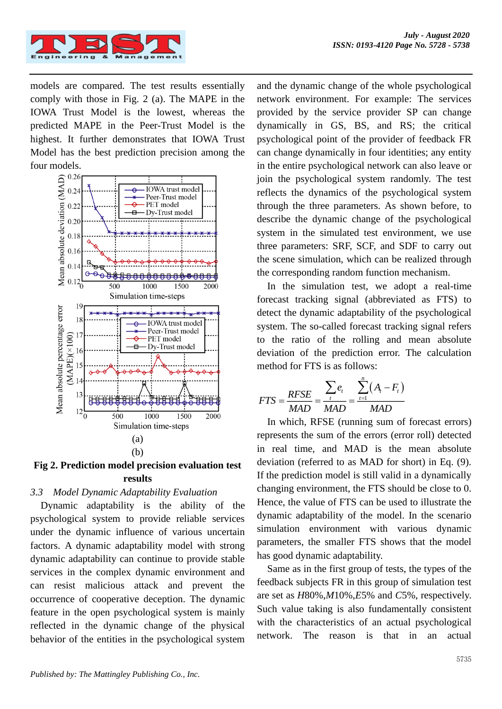models are compared. The test results essentially comply with those in Fig. 2 (a). The MAPE in the IOWA Trust Model is the lowest, whereas the predicted MAPE in the Peer-Trust Model is the highest. It further demonstrates that IOWA Trust Model has the best prediction precision among the four models.



**Fig 2. Prediction model precision evaluation test results**

# *3.3 Model Dynamic Adaptability Evaluation*

Dynamic adaptability is the ability of the psychological system to provide reliable services under the dynamic influence of various uncertain factors. A dynamic adaptability model with strong dynamic adaptability can continue to provide stable services in the complex dynamic environment and can resist malicious attack and prevent the occurrence of cooperative deception. The dynamic feature in the open psychological system is mainly reflected in the dynamic change of the physical behavior of the entities in the psychological system

and the dynamic change of the whole psychological network environment. For example: The services provided by the service provider SP can change dynamically in GS, BS, and RS; the critical psychological point of the provider of feedback FR can change dynamically in four identities; any entity in the entire psychological network can also leave or join the psychological system randomly. The test reflects the dynamics of the psychological system through the three parameters. As shown before, to describe the dynamic change of the psychological system in the simulated test environment, we use three parameters: SRF, SCF, and SDF to carry out the scene simulation, which can be realized through the corresponding random function mechanism.

In the simulation test, we adopt a real-time forecast tracking signal (abbreviated as FTS) to detect the dynamic adaptability of the psychological system. The so-called forecast tracking signal refers to the ratio of the rolling and mean absolute deviation of the prediction error. The calculation method for FTS is as follows:

$$
FTS = \frac{RFSE}{MAD} = \frac{\sum_{t} e_{t}}{MAD} = \frac{\sum_{t=1}^{n} (A_{t} - F_{t})}{MAD}
$$

In which, RFSE (running sum of forecast errors) represents the sum of the errors (error roll) detected in real time, and MAD is the mean absolute deviation (referred to as MAD for short) in Eq. (9). If the prediction model is still valid in a dynamically changing environment, the FTS should be close to 0. Hence, the value of FTS can be used to illustrate the dynamic adaptability of the model. In the scenario simulation environment with various dynamic parameters, the smaller FTS shows that the model has good dynamic adaptability.

Same as in the first group of tests, the types of the feedback subjects FR in this group of simulation test are set as *H*80%,*M*10%,*E*5% and *C*5%, respectively. Such value taking is also fundamentally consistent with the characteristics of an actual psychological network. The reason is that in an actual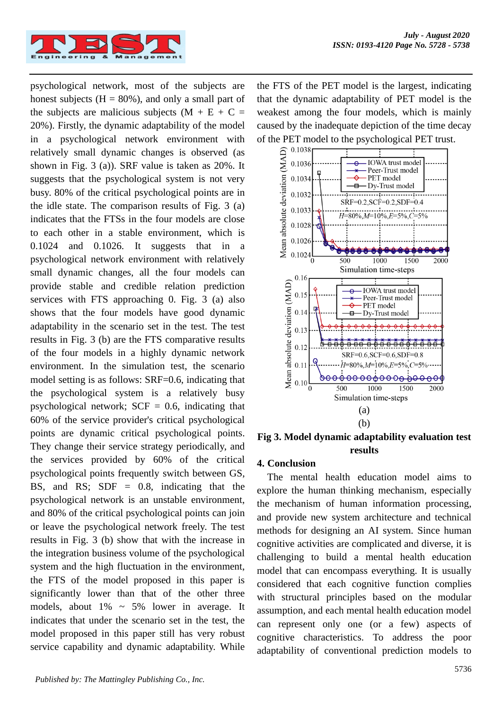

psychological network, most of the subjects are honest subjects  $(H = 80\%)$ , and only a small part of the subjects are malicious subjects  $(M + E + C =$ 20%). Firstly, the dynamic adaptability of the model in a psychological network environment with relatively small dynamic changes is observed (as shown in Fig. 3 (a)). SRF value is taken as 20%. It suggests that the psychological system is not very busy. 80% of the critical psychological points are in the idle state. The comparison results of Fig. 3 (a) indicates that the FTSs in the four models are close to each other in a stable environment, which is 0.1024 and 0.1026. It suggests that in a psychological network environment with relatively small dynamic changes, all the four models can provide stable and credible relation prediction services with FTS approaching 0. Fig. 3 (a) also shows that the four models have good dynamic adaptability in the scenario set in the test. The test results in Fig. 3 (b) are the FTS comparative results of the four models in a highly dynamic network environment. In the simulation test, the scenario model setting is as follows: SRF=0.6, indicating that the psychological system is a relatively busy psychological network;  $SCF = 0.6$ , indicating that 60% of the service provider's critical psychological points are dynamic critical psychological points. They change their service strategy periodically, and the services provided by 60% of the critical psychological points frequently switch between GS, BS, and RS;  $SDF = 0.8$ , indicating that the psychological network is an unstable environment, and 80% of the critical psychological points can join or leave the psychological network freely. The test results in Fig. 3 (b) show that with the increase in the integration business volume of the psychological system and the high fluctuation in the environment, the FTS of the model proposed in this paper is significantly lower than that of the other three models, about  $1\% \sim 5\%$  lower in average. It indicates that under the scenario set in the test, the model proposed in this paper still has very robust service capability and dynamic adaptability. While

the FTS of the PET model is the largest, indicating that the dynamic adaptability of PET model is the weakest among the four models, which is mainly caused by the inadequate depiction of the time decay of the PET model to the psychological PET trust.



**Fig 3. Model dynamic adaptability evaluation test results**

#### **4. Conclusion**

The mental health education model aims to explore the human thinking mechanism, especially the mechanism of human information processing, and provide new system architecture and technical methods for designing an AI system. Since human cognitive activities are complicated and diverse, it is challenging to build a mental health education model that can encompass everything. It is usually considered that each cognitive function complies with structural principles based on the modular assumption, and each mental health education model can represent only one (or a few) aspects of cognitive characteristics. To address the poor adaptability of conventional prediction models to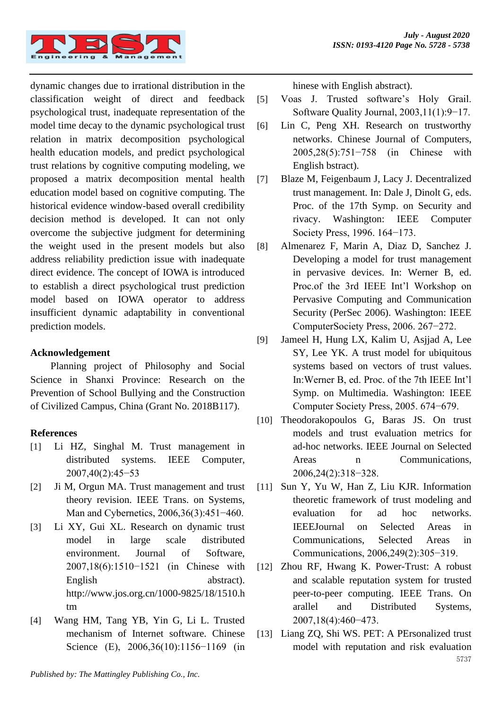

dynamic changes due to irrational distribution in the classification weight of direct and feedback psychological trust, inadequate representation of the model time decay to the dynamic psychological trust relation in matrix decomposition psychological health education models, and predict psychological trust relations by cognitive computing modeling, we proposed a matrix decomposition mental health education model based on cognitive computing. The historical evidence window-based overall credibility decision method is developed. It can not only overcome the subjective judgment for determining the weight used in the present models but also address reliability prediction issue with inadequate direct evidence. The concept of IOWA is introduced to establish a direct psychological trust prediction model based on IOWA operator to address insufficient dynamic adaptability in conventional prediction models.

## **Acknowledgement**

Planning project of Philosophy and Social Science in Shanxi Province: Research on the Prevention of School Bullying and the Construction of Civilized Campus, China (Grant No. 2018B117).

## **References**

- [1] Li HZ, Singhal M. Trust management in distributed systems. IEEE Computer, 2007,40(2):45−53
- [2] Ji M, Orgun MA. Trust management and trust theory revision. IEEE Trans. on Systems, Man and Cybernetics, 2006,36(3):451−460.
- [3] Li XY, Gui XL. Research on dynamic trust model in large scale distributed environment. Journal of Software, 2007,18(6):1510−1521 (in Chinese with English abstract). http://www.jos.org.cn/1000-9825/18/1510.h tm
- [4] Wang HM, Tang YB, Yin G, Li L. Trusted mechanism of Internet software. Chinese Science (E), 2006,36(10):1156−1169 (in

hinese with English abstract).

- [5] Voas J. Trusted software's Holy Grail. Software Quality Journal, 2003,11(1):9−17.
- [6] Lin C, Peng XH. Research on trustworthy networks. Chinese Journal of Computers, 2005,28(5):751−758 (in Chinese with English bstract).
- [7] Blaze M, Feigenbaum J, Lacy J. Decentralized trust management. In: Dale J, Dinolt G, eds. Proc. of the 17th Symp. on Security and rivacy. Washington: IEEE Computer Society Press, 1996. 164−173.
- [8] Almenarez F, Marin A, Diaz D, Sanchez J. Developing a model for trust management in pervasive devices. In: Werner B, ed. Proc.of the 3rd IEEE Int'l Workshop on Pervasive Computing and Communication Security (PerSec 2006). Washington: IEEE ComputerSociety Press, 2006. 267−272.
- [9] Jameel H, Hung LX, Kalim U, Asjjad A, Lee SY, Lee YK. A trust model for ubiquitous systems based on vectors of trust values. In:Werner B, ed. Proc. of the 7th IEEE Int'l Symp. on Multimedia. Washington: IEEE Computer Society Press, 2005. 674−679.
- [10] Theodorakopoulos G, Baras JS. On trust models and trust evaluation metrics for ad-hoc networks. IEEE Journal on Selected Areas n Communications, 2006,24(2):318−328.
- [11] Sun Y, Yu W, Han Z, Liu KJR. Information theoretic framework of trust modeling and evaluation for ad hoc networks. IEEEJournal on Selected Areas in Communications, Selected Areas in Communications, 2006,249(2):305−319.
- [12] Zhou RF, Hwang K. Power-Trust: A robust and scalable reputation system for trusted peer-to-peer computing. IEEE Trans. On arallel and Distributed Systems, 2007,18(4):460−473.
- 5737 [13] Liang ZQ, Shi WS. PET: A PErsonalized trust model with reputation and risk evaluation